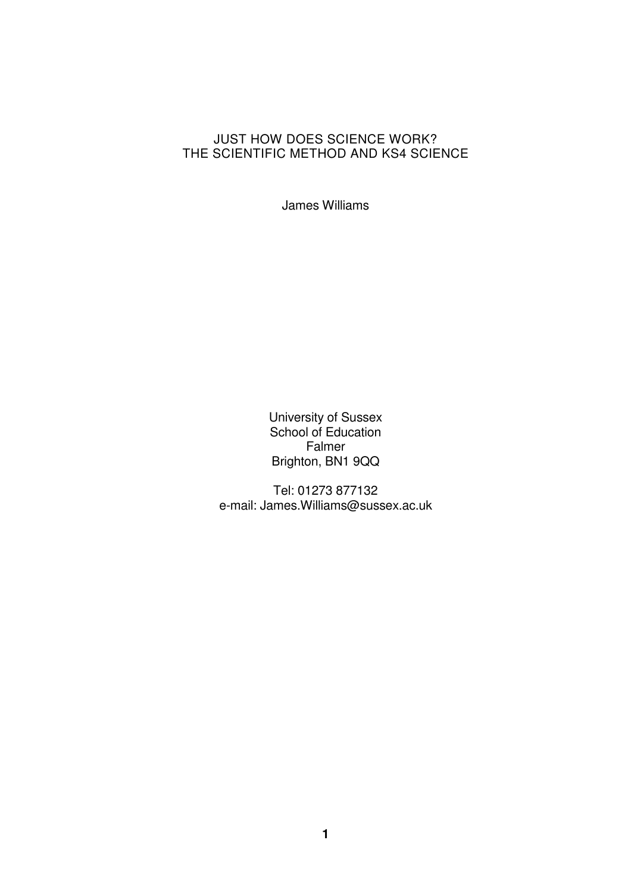# JUST HOW DOES SCIENCE WORK? THE SCIENTIFIC METHOD AND KS4 SCIENCE

James Williams

University of Sussex School of Education Falmer Brighton, BN1 9QQ

Tel: 01273 877132 e-mail: James.Williams@sussex.ac.uk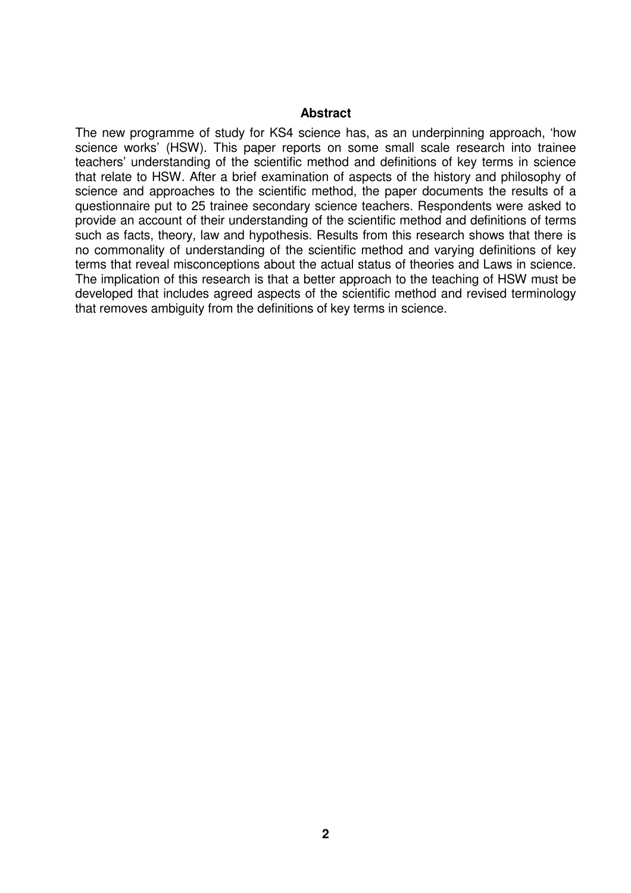#### **Abstract**

The new programme of study for KS4 science has, as an underpinning approach, 'how science works' (HSW). This paper reports on some small scale research into trainee teachers' understanding of the scientific method and definitions of key terms in science that relate to HSW. After a brief examination of aspects of the history and philosophy of science and approaches to the scientific method, the paper documents the results of a questionnaire put to 25 trainee secondary science teachers. Respondents were asked to provide an account of their understanding of the scientific method and definitions of terms such as facts, theory, law and hypothesis. Results from this research shows that there is no commonality of understanding of the scientific method and varying definitions of key terms that reveal misconceptions about the actual status of theories and Laws in science. The implication of this research is that a better approach to the teaching of HSW must be developed that includes agreed aspects of the scientific method and revised terminology that removes ambiguity from the definitions of key terms in science.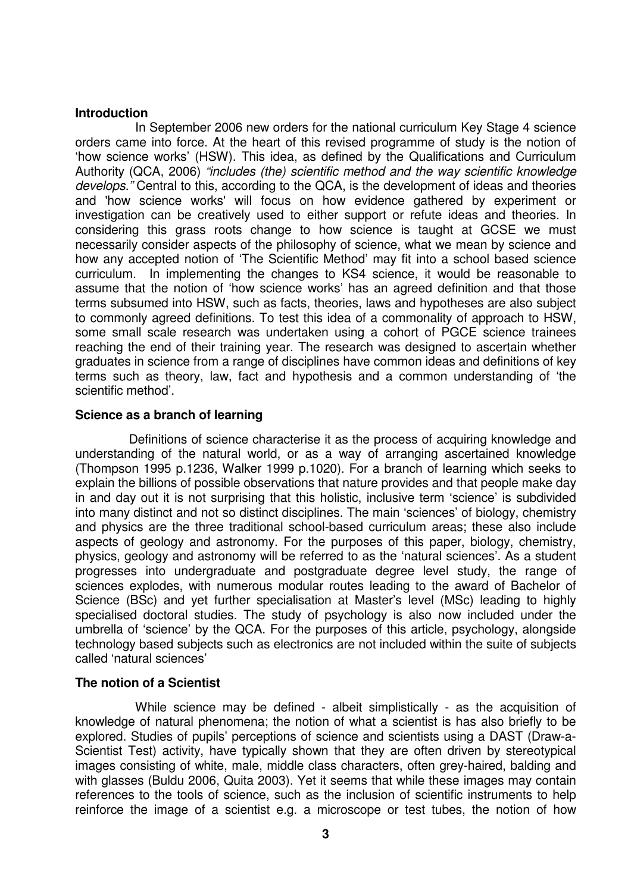### **Introduction**

In September 2006 new orders for the national curriculum Key Stage 4 science orders came into force. At the heart of this revised programme of study is the notion of 'how science works' (HSW). This idea, as defined by the Qualifications and Curriculum Authority (QCA, 2006) "includes (the) scientific method and the way scientific knowledge develops." Central to this, according to the QCA, is the development of ideas and theories and 'how science works' will focus on how evidence gathered by experiment or investigation can be creatively used to either support or refute ideas and theories. In considering this grass roots change to how science is taught at GCSE we must necessarily consider aspects of the philosophy of science, what we mean by science and how any accepted notion of 'The Scientific Method' may fit into a school based science curriculum. In implementing the changes to KS4 science, it would be reasonable to assume that the notion of 'how science works' has an agreed definition and that those terms subsumed into HSW, such as facts, theories, laws and hypotheses are also subject to commonly agreed definitions. To test this idea of a commonality of approach to HSW, some small scale research was undertaken using a cohort of PGCE science trainees reaching the end of their training year. The research was designed to ascertain whether graduates in science from a range of disciplines have common ideas and definitions of key terms such as theory, law, fact and hypothesis and a common understanding of 'the scientific method'.

## **Science as a branch of learning**

Definitions of science characterise it as the process of acquiring knowledge and understanding of the natural world, or as a way of arranging ascertained knowledge (Thompson 1995 p.1236, Walker 1999 p.1020). For a branch of learning which seeks to explain the billions of possible observations that nature provides and that people make day in and day out it is not surprising that this holistic, inclusive term 'science' is subdivided into many distinct and not so distinct disciplines. The main 'sciences' of biology, chemistry and physics are the three traditional school-based curriculum areas; these also include aspects of geology and astronomy. For the purposes of this paper, biology, chemistry, physics, geology and astronomy will be referred to as the 'natural sciences'. As a student progresses into undergraduate and postgraduate degree level study, the range of sciences explodes, with numerous modular routes leading to the award of Bachelor of Science (BSc) and yet further specialisation at Master's level (MSc) leading to highly specialised doctoral studies. The study of psychology is also now included under the umbrella of 'science' by the QCA. For the purposes of this article, psychology, alongside technology based subjects such as electronics are not included within the suite of subjects called 'natural sciences'

## **The notion of a Scientist**

While science may be defined - albeit simplistically - as the acquisition of knowledge of natural phenomena; the notion of what a scientist is has also briefly to be explored. Studies of pupils' perceptions of science and scientists using a DAST (Draw-a-Scientist Test) activity, have typically shown that they are often driven by stereotypical images consisting of white, male, middle class characters, often grey-haired, balding and with glasses (Buldu 2006, Quita 2003). Yet it seems that while these images may contain references to the tools of science, such as the inclusion of scientific instruments to help reinforce the image of a scientist e.g. a microscope or test tubes, the notion of how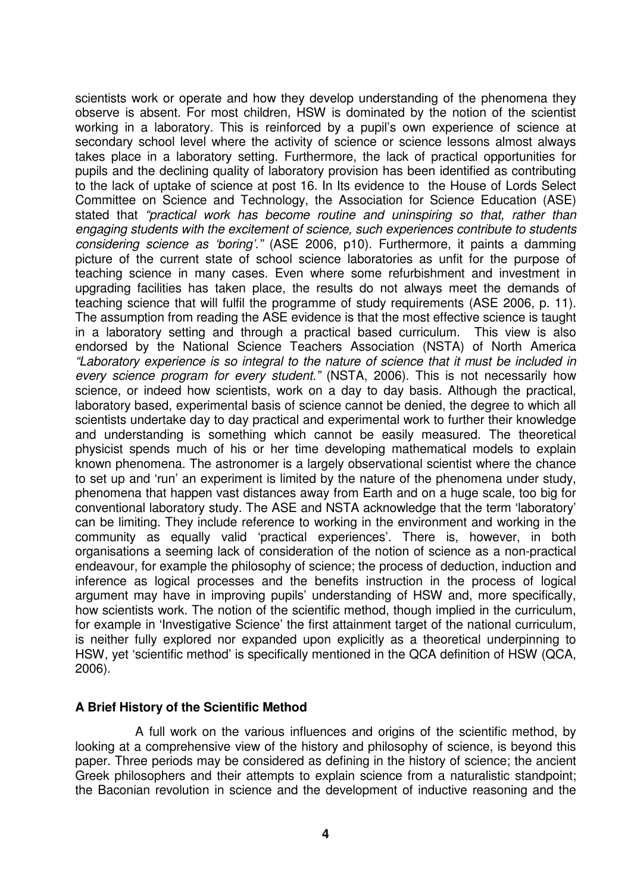scientists work or operate and how they develop understanding of the phenomena they observe is absent. For most children, HSW is dominated by the notion of the scientist working in a laboratory. This is reinforced by a pupil's own experience of science at secondary school level where the activity of science or science lessons almost always takes place in a laboratory setting. Furthermore, the lack of practical opportunities for pupils and the declining quality of laboratory provision has been identified as contributing to the lack of uptake of science at post 16. In Its evidence to the House of Lords Select Committee on Science and Technology, the Association for Science Education (ASE) stated that "practical work has become routine and uninspiring so that, rather than engaging students with the excitement of science, such experiences contribute to students considering science as 'boring'." (ASE 2006, p10). Furthermore, it paints a damming picture of the current state of school science laboratories as unfit for the purpose of teaching science in many cases. Even where some refurbishment and investment in upgrading facilities has taken place, the results do not always meet the demands of teaching science that will fulfil the programme of study requirements (ASE 2006, p. 11). The assumption from reading the ASE evidence is that the most effective science is taught in a laboratory setting and through a practical based curriculum. This view is also endorsed by the National Science Teachers Association (NSTA) of North America "Laboratory experience is so integral to the nature of science that it must be included in every science program for every student." (NSTA, 2006). This is not necessarily how science, or indeed how scientists, work on a day to day basis. Although the practical, laboratory based, experimental basis of science cannot be denied, the degree to which all scientists undertake day to day practical and experimental work to further their knowledge and understanding is something which cannot be easily measured. The theoretical physicist spends much of his or her time developing mathematical models to explain known phenomena. The astronomer is a largely observational scientist where the chance to set up and 'run' an experiment is limited by the nature of the phenomena under study, phenomena that happen vast distances away from Earth and on a huge scale, too big for conventional laboratory study. The ASE and NSTA acknowledge that the term 'laboratory' can be limiting. They include reference to working in the environment and working in the community as equally valid 'practical experiences'. There is, however, in both organisations a seeming lack of consideration of the notion of science as a non-practical endeavour, for example the philosophy of science; the process of deduction, induction and inference as logical processes and the benefits instruction in the process of logical argument may have in improving pupils' understanding of HSW and, more specifically, how scientists work. The notion of the scientific method, though implied in the curriculum, for example in 'Investigative Science' the first attainment target of the national curriculum, is neither fully explored nor expanded upon explicitly as a theoretical underpinning to HSW, yet 'scientific method' is specifically mentioned in the QCA definition of HSW (QCA, 2006).

#### **A Brief History of the Scientific Method**

A full work on the various influences and origins of the scientific method, by looking at a comprehensive view of the history and philosophy of science, is beyond this paper. Three periods may be considered as defining in the history of science; the ancient Greek philosophers and their attempts to explain science from a naturalistic standpoint; the Baconian revolution in science and the development of inductive reasoning and the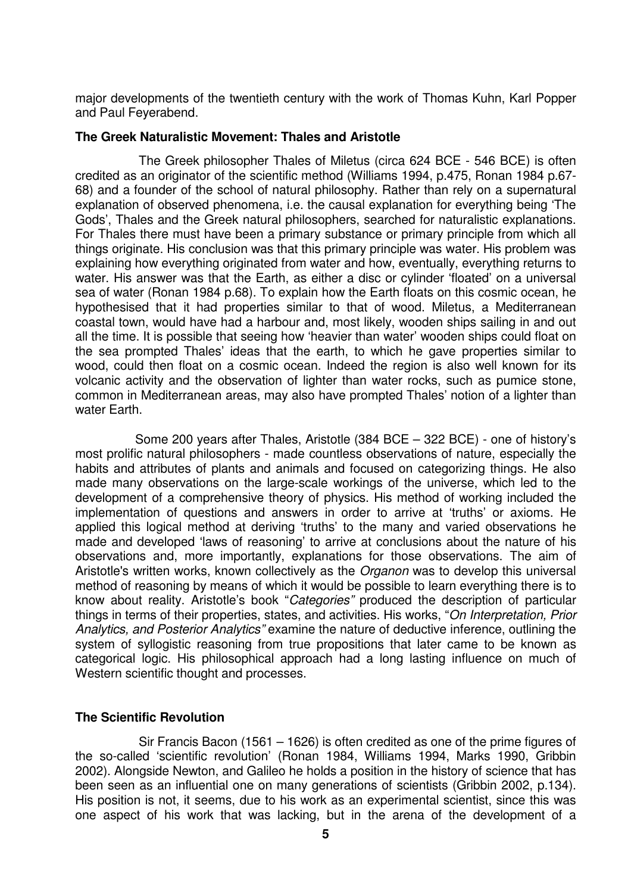major developments of the twentieth century with the work of Thomas Kuhn, Karl Popper and Paul Feyerabend.

#### **The Greek Naturalistic Movement: Thales and Aristotle**

 The Greek philosopher Thales of Miletus (circa 624 BCE - 546 BCE) is often credited as an originator of the scientific method (Williams 1994, p.475, Ronan 1984 p.67- 68) and a founder of the school of natural philosophy. Rather than rely on a supernatural explanation of observed phenomena, i.e. the causal explanation for everything being 'The Gods', Thales and the Greek natural philosophers, searched for naturalistic explanations. For Thales there must have been a primary substance or primary principle from which all things originate. His conclusion was that this primary principle was water. His problem was explaining how everything originated from water and how, eventually, everything returns to water. His answer was that the Earth, as either a disc or cylinder 'floated' on a universal sea of water (Ronan 1984 p.68). To explain how the Earth floats on this cosmic ocean, he hypothesised that it had properties similar to that of wood. Miletus, a Mediterranean coastal town, would have had a harbour and, most likely, wooden ships sailing in and out all the time. It is possible that seeing how 'heavier than water' wooden ships could float on the sea prompted Thales' ideas that the earth, to which he gave properties similar to wood, could then float on a cosmic ocean. Indeed the region is also well known for its volcanic activity and the observation of lighter than water rocks, such as pumice stone, common in Mediterranean areas, may also have prompted Thales' notion of a lighter than water Earth.

Some 200 years after Thales, Aristotle (384 BCE – 322 BCE) - one of history's most prolific natural philosophers - made countless observations of nature, especially the habits and attributes of plants and animals and focused on categorizing things. He also made many observations on the large-scale workings of the universe, which led to the development of a comprehensive theory of physics. His method of working included the implementation of questions and answers in order to arrive at 'truths' or axioms. He applied this logical method at deriving 'truths' to the many and varied observations he made and developed 'laws of reasoning' to arrive at conclusions about the nature of his observations and, more importantly, explanations for those observations. The aim of Aristotle's written works, known collectively as the Organon was to develop this universal method of reasoning by means of which it would be possible to learn everything there is to know about reality. Aristotle's book "Categories" produced the description of particular things in terms of their properties, states, and activities. His works, "On Interpretation, Prior Analytics, and Posterior Analytics" examine the nature of deductive inference, outlining the system of syllogistic reasoning from true propositions that later came to be known as categorical logic. His philosophical approach had a long lasting influence on much of Western scientific thought and processes.

#### **The Scientific Revolution**

 Sir Francis Bacon (1561 – 1626) is often credited as one of the prime figures of the so-called 'scientific revolution' (Ronan 1984, Williams 1994, Marks 1990, Gribbin 2002). Alongside Newton, and Galileo he holds a position in the history of science that has been seen as an influential one on many generations of scientists (Gribbin 2002, p.134). His position is not, it seems, due to his work as an experimental scientist, since this was one aspect of his work that was lacking, but in the arena of the development of a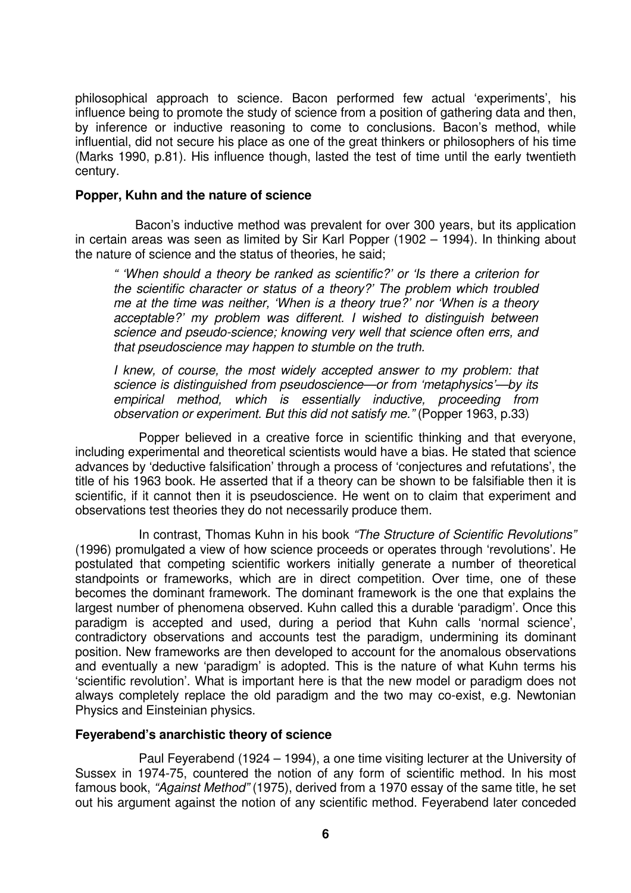philosophical approach to science. Bacon performed few actual 'experiments', his influence being to promote the study of science from a position of gathering data and then, by inference or inductive reasoning to come to conclusions. Bacon's method, while influential, did not secure his place as one of the great thinkers or philosophers of his time (Marks 1990, p.81). His influence though, lasted the test of time until the early twentieth century.

## **Popper, Kuhn and the nature of science**

Bacon's inductive method was prevalent for over 300 years, but its application in certain areas was seen as limited by Sir Karl Popper (1902 – 1994). In thinking about the nature of science and the status of theories, he said;

" 'When should a theory be ranked as scientific?' or 'Is there a criterion for the scientific character or status of a theory?' The problem which troubled me at the time was neither, 'When is a theory true?' nor 'When is a theory acceptable?' my problem was different. I wished to distinguish between science and pseudo-science; knowing very well that science often errs, and that pseudoscience may happen to stumble on the truth.

I knew, of course, the most widely accepted answer to my problem: that science is distinguished from pseudoscience—or from 'metaphysics'—by its empirical method, which is essentially inductive, proceeding from observation or experiment. But this did not satisfy me." (Popper 1963, p.33)

 Popper believed in a creative force in scientific thinking and that everyone, including experimental and theoretical scientists would have a bias. He stated that science advances by 'deductive falsification' through a process of 'conjectures and refutations', the title of his 1963 book. He asserted that if a theory can be shown to be falsifiable then it is scientific, if it cannot then it is pseudoscience. He went on to claim that experiment and observations test theories they do not necessarily produce them.

In contrast, Thomas Kuhn in his book "The Structure of Scientific Revolutions" (1996) promulgated a view of how science proceeds or operates through 'revolutions'. He postulated that competing scientific workers initially generate a number of theoretical standpoints or frameworks, which are in direct competition. Over time, one of these becomes the dominant framework. The dominant framework is the one that explains the largest number of phenomena observed. Kuhn called this a durable 'paradigm'. Once this paradigm is accepted and used, during a period that Kuhn calls 'normal science', contradictory observations and accounts test the paradigm, undermining its dominant position. New frameworks are then developed to account for the anomalous observations and eventually a new 'paradigm' is adopted. This is the nature of what Kuhn terms his 'scientific revolution'. What is important here is that the new model or paradigm does not always completely replace the old paradigm and the two may co-exist, e.g. Newtonian Physics and Einsteinian physics.

#### **Feyerabend's anarchistic theory of science**

 Paul Feyerabend (1924 – 1994), a one time visiting lecturer at the University of Sussex in 1974-75, countered the notion of any form of scientific method. In his most famous book, "Against Method" (1975), derived from a 1970 essay of the same title, he set out his argument against the notion of any scientific method. Feyerabend later conceded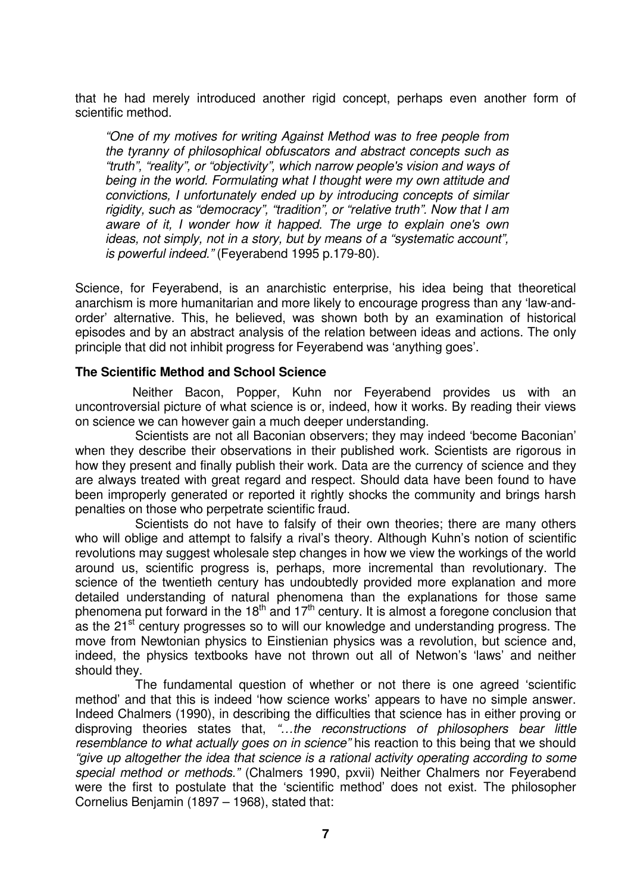that he had merely introduced another rigid concept, perhaps even another form of scientific method.

"One of my motives for writing Against Method was to free people from the tyranny of philosophical obfuscators and abstract concepts such as "truth", "reality", or "objectivity", which narrow people's vision and ways of being in the world. Formulating what I thought were my own attitude and convictions, I unfortunately ended up by introducing concepts of similar rigidity, such as "democracy", "tradition", or "relative truth". Now that I am aware of it, I wonder how it happed. The urge to explain one's own ideas, not simply, not in a story, but by means of a "systematic account", is powerful indeed." (Feyerabend 1995 p.179-80).

Science, for Feyerabend, is an anarchistic enterprise, his idea being that theoretical anarchism is more humanitarian and more likely to encourage progress than any 'law-andorder' alternative. This, he believed, was shown both by an examination of historical episodes and by an abstract analysis of the relation between ideas and actions. The only principle that did not inhibit progress for Feyerabend was 'anything goes'.

## **The Scientific Method and School Science**

Neither Bacon, Popper, Kuhn nor Feyerabend provides us with an uncontroversial picture of what science is or, indeed, how it works. By reading their views on science we can however gain a much deeper understanding.

Scientists are not all Baconian observers; they may indeed 'become Baconian' when they describe their observations in their published work. Scientists are rigorous in how they present and finally publish their work. Data are the currency of science and they are always treated with great regard and respect. Should data have been found to have been improperly generated or reported it rightly shocks the community and brings harsh penalties on those who perpetrate scientific fraud.

Scientists do not have to falsify of their own theories; there are many others who will oblige and attempt to falsify a rival's theory. Although Kuhn's notion of scientific revolutions may suggest wholesale step changes in how we view the workings of the world around us, scientific progress is, perhaps, more incremental than revolutionary. The science of the twentieth century has undoubtedly provided more explanation and more detailed understanding of natural phenomena than the explanations for those same phenomena put forward in the  $18<sup>th</sup>$  and  $17<sup>th</sup>$  century. It is almost a foregone conclusion that as the 21<sup>st</sup> century progresses so to will our knowledge and understanding progress. The move from Newtonian physics to Einstienian physics was a revolution, but science and, indeed, the physics textbooks have not thrown out all of Netwon's 'laws' and neither should they.

The fundamental question of whether or not there is one agreed 'scientific method' and that this is indeed 'how science works' appears to have no simple answer. Indeed Chalmers (1990), in describing the difficulties that science has in either proving or disproving theories states that, "…the reconstructions of philosophers bear little resemblance to what actually goes on in science" his reaction to this being that we should "give up altogether the idea that science is a rational activity operating according to some special method or methods." (Chalmers 1990, pxvii) Neither Chalmers nor Feyerabend were the first to postulate that the 'scientific method' does not exist. The philosopher Cornelius Benjamin (1897 – 1968), stated that: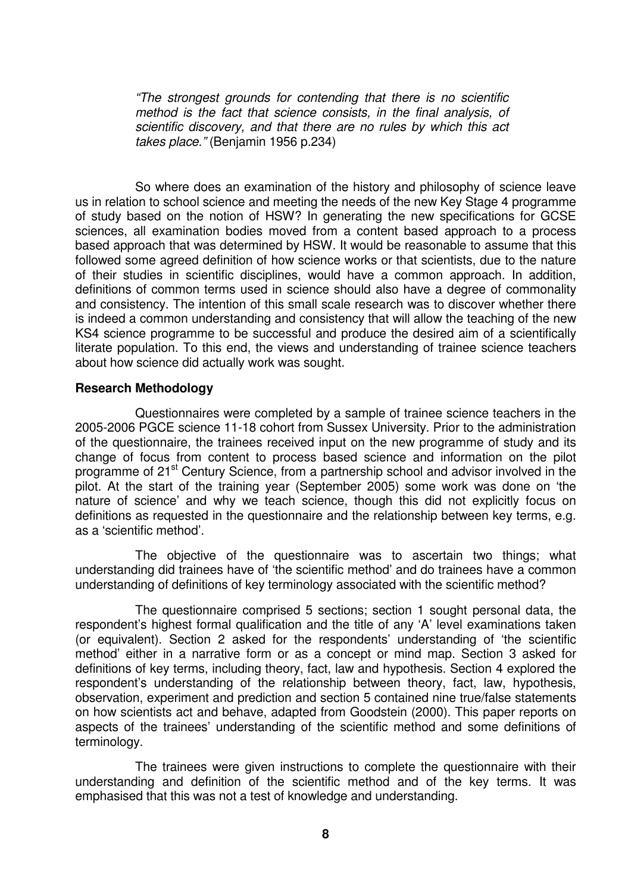"The strongest grounds for contending that there is no scientific method is the fact that science consists, in the final analysis, of scientific discovery, and that there are no rules by which this act takes place." (Benjamin 1956 p.234)

So where does an examination of the history and philosophy of science leave us in relation to school science and meeting the needs of the new Key Stage 4 programme of study based on the notion of HSW? In generating the new specifications for GCSE sciences, all examination bodies moved from a content based approach to a process based approach that was determined by HSW. It would be reasonable to assume that this followed some agreed definition of how science works or that scientists, due to the nature of their studies in scientific disciplines, would have a common approach. In addition, definitions of common terms used in science should also have a degree of commonality and consistency. The intention of this small scale research was to discover whether there is indeed a common understanding and consistency that will allow the teaching of the new KS4 science programme to be successful and produce the desired aim of a scientifically literate population. To this end, the views and understanding of trainee science teachers about how science did actually work was sought.

#### **Research Methodology**

Questionnaires were completed by a sample of trainee science teachers in the 2005-2006 PGCE science 11-18 cohort from Sussex University. Prior to the administration of the questionnaire, the trainees received input on the new programme of study and its change of focus from content to process based science and information on the pilot programme of 21<sup>st</sup> Century Science, from a partnership school and advisor involved in the pilot. At the start of the training year (September 2005) some work was done on 'the nature of science' and why we teach science, though this did not explicitly focus on definitions as requested in the questionnaire and the relationship between key terms, e.g. as a 'scientific method'.

The objective of the questionnaire was to ascertain two things; what understanding did trainees have of 'the scientific method' and do trainees have a common understanding of definitions of key terminology associated with the scientific method?

The questionnaire comprised 5 sections; section 1 sought personal data, the respondent's highest formal qualification and the title of any 'A' level examinations taken (or equivalent). Section 2 asked for the respondents' understanding of 'the scientific method' either in a narrative form or as a concept or mind map. Section 3 asked for definitions of key terms, including theory, fact, law and hypothesis. Section 4 explored the respondent's understanding of the relationship between theory, fact, law, hypothesis, observation, experiment and prediction and section 5 contained nine true/false statements on how scientists act and behave, adapted from Goodstein (2000). This paper reports on aspects of the trainees' understanding of the scientific method and some definitions of terminology.

The trainees were given instructions to complete the questionnaire with their understanding and definition of the scientific method and of the key terms. It was emphasised that this was not a test of knowledge and understanding.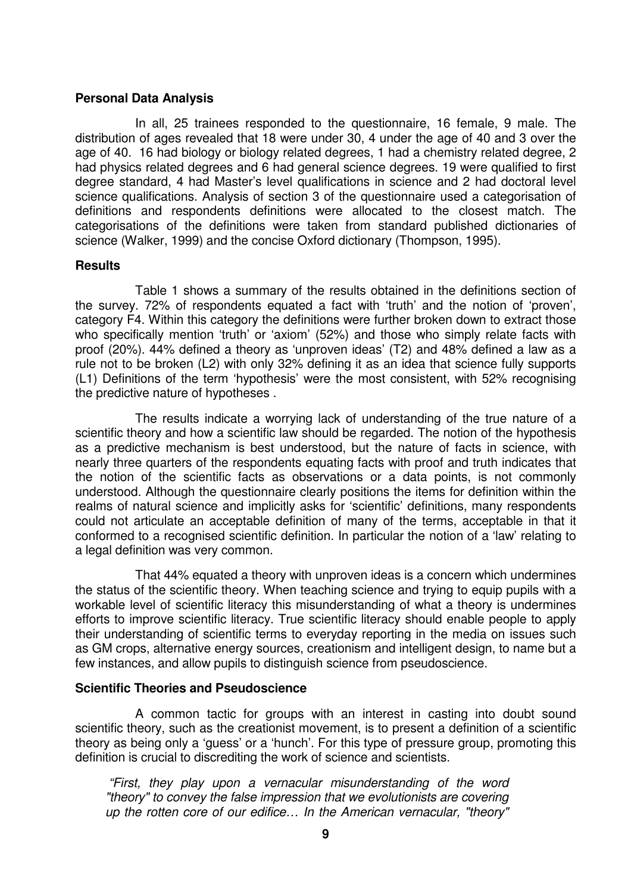### **Personal Data Analysis**

In all, 25 trainees responded to the questionnaire, 16 female, 9 male. The distribution of ages revealed that 18 were under 30, 4 under the age of 40 and 3 over the age of 40. 16 had biology or biology related degrees, 1 had a chemistry related degree, 2 had physics related degrees and 6 had general science degrees. 19 were qualified to first degree standard, 4 had Master's level qualifications in science and 2 had doctoral level science qualifications. Analysis of section 3 of the questionnaire used a categorisation of definitions and respondents definitions were allocated to the closest match. The categorisations of the definitions were taken from standard published dictionaries of science (Walker, 1999) and the concise Oxford dictionary (Thompson, 1995).

## **Results**

Table 1 shows a summary of the results obtained in the definitions section of the survey. 72% of respondents equated a fact with 'truth' and the notion of 'proven', category F4. Within this category the definitions were further broken down to extract those who specifically mention 'truth' or 'axiom' (52%) and those who simply relate facts with proof (20%). 44% defined a theory as 'unproven ideas' (T2) and 48% defined a law as a rule not to be broken (L2) with only 32% defining it as an idea that science fully supports (L1) Definitions of the term 'hypothesis' were the most consistent, with 52% recognising the predictive nature of hypotheses .

The results indicate a worrying lack of understanding of the true nature of a scientific theory and how a scientific law should be regarded. The notion of the hypothesis as a predictive mechanism is best understood, but the nature of facts in science, with nearly three quarters of the respondents equating facts with proof and truth indicates that the notion of the scientific facts as observations or a data points, is not commonly understood. Although the questionnaire clearly positions the items for definition within the realms of natural science and implicitly asks for 'scientific' definitions, many respondents could not articulate an acceptable definition of many of the terms, acceptable in that it conformed to a recognised scientific definition. In particular the notion of a 'law' relating to a legal definition was very common.

That 44% equated a theory with unproven ideas is a concern which undermines the status of the scientific theory. When teaching science and trying to equip pupils with a workable level of scientific literacy this misunderstanding of what a theory is undermines efforts to improve scientific literacy. True scientific literacy should enable people to apply their understanding of scientific terms to everyday reporting in the media on issues such as GM crops, alternative energy sources, creationism and intelligent design, to name but a few instances, and allow pupils to distinguish science from pseudoscience.

## **Scientific Theories and Pseudoscience**

A common tactic for groups with an interest in casting into doubt sound scientific theory, such as the creationist movement, is to present a definition of a scientific theory as being only a 'guess' or a 'hunch'. For this type of pressure group, promoting this definition is crucial to discrediting the work of science and scientists.

 "First, they play upon a vernacular misunderstanding of the word "theory" to convey the false impression that we evolutionists are covering up the rotten core of our edifice… In the American vernacular, "theory"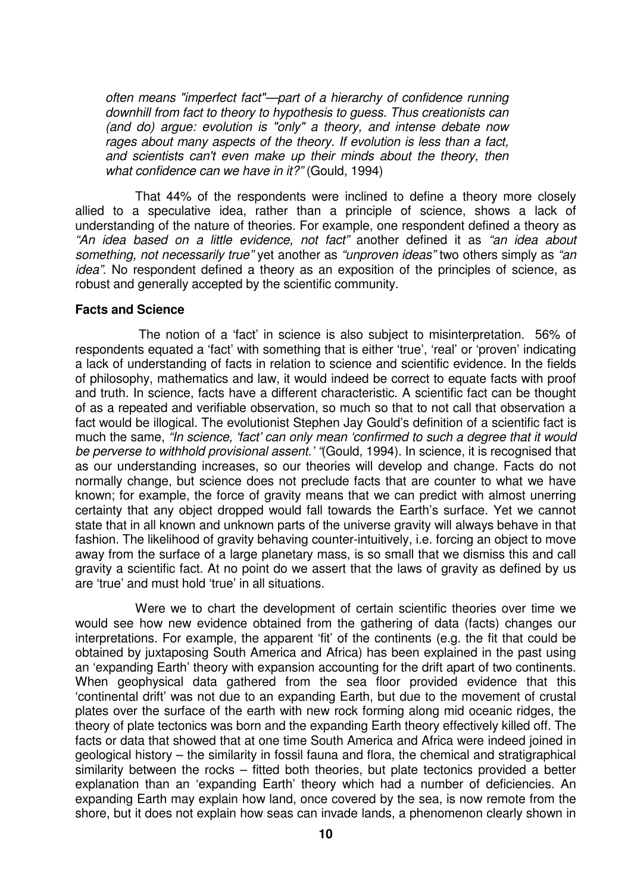often means "imperfect fact"—part of a hierarchy of confidence running downhill from fact to theory to hypothesis to guess. Thus creationists can (and do) argue: evolution is "only" a theory, and intense debate now rages about many aspects of the theory. If evolution is less than a fact, and scientists can't even make up their minds about the theory, then what confidence can we have in it?" (Gould, 1994)

That 44% of the respondents were inclined to define a theory more closely allied to a speculative idea, rather than a principle of science, shows a lack of understanding of the nature of theories. For example, one respondent defined a theory as "An idea based on a little evidence, not fact" another defined it as "an idea about something, not necessarily true" yet another as "unproven ideas" two others simply as "an idea". No respondent defined a theory as an exposition of the principles of science, as robust and generally accepted by the scientific community.

## **Facts and Science**

 The notion of a 'fact' in science is also subject to misinterpretation. 56% of respondents equated a 'fact' with something that is either 'true', 'real' or 'proven' indicating a lack of understanding of facts in relation to science and scientific evidence. In the fields of philosophy, mathematics and law, it would indeed be correct to equate facts with proof and truth. In science, facts have a different characteristic. A scientific fact can be thought of as a repeated and verifiable observation, so much so that to not call that observation a fact would be illogical. The evolutionist Stephen Jay Gould's definition of a scientific fact is much the same, "In science, 'fact' can only mean 'confirmed to such a degree that it would be perverse to withhold provisional assent.' "(Gould, 1994). In science, it is recognised that as our understanding increases, so our theories will develop and change. Facts do not normally change, but science does not preclude facts that are counter to what we have known; for example, the force of gravity means that we can predict with almost unerring certainty that any object dropped would fall towards the Earth's surface. Yet we cannot state that in all known and unknown parts of the universe gravity will always behave in that fashion. The likelihood of gravity behaving counter-intuitively, i.e. forcing an object to move away from the surface of a large planetary mass, is so small that we dismiss this and call gravity a scientific fact. At no point do we assert that the laws of gravity as defined by us are 'true' and must hold 'true' in all situations.

Were we to chart the development of certain scientific theories over time we would see how new evidence obtained from the gathering of data (facts) changes our interpretations. For example, the apparent 'fit' of the continents (e.g. the fit that could be obtained by juxtaposing South America and Africa) has been explained in the past using an 'expanding Earth' theory with expansion accounting for the drift apart of two continents. When geophysical data gathered from the sea floor provided evidence that this 'continental drift' was not due to an expanding Earth, but due to the movement of crustal plates over the surface of the earth with new rock forming along mid oceanic ridges, the theory of plate tectonics was born and the expanding Earth theory effectively killed off. The facts or data that showed that at one time South America and Africa were indeed joined in geological history – the similarity in fossil fauna and flora, the chemical and stratigraphical similarity between the rocks – fitted both theories, but plate tectonics provided a better explanation than an 'expanding Earth' theory which had a number of deficiencies. An expanding Earth may explain how land, once covered by the sea, is now remote from the shore, but it does not explain how seas can invade lands, a phenomenon clearly shown in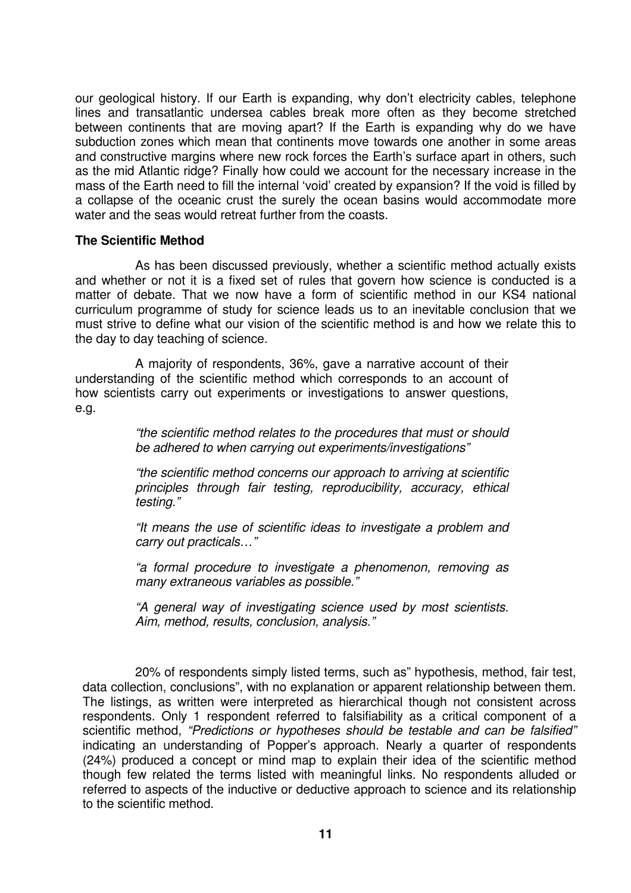our geological history. If our Earth is expanding, why don't electricity cables, telephone lines and transatlantic undersea cables break more often as they become stretched between continents that are moving apart? If the Earth is expanding why do we have subduction zones which mean that continents move towards one another in some areas and constructive margins where new rock forces the Earth's surface apart in others, such as the mid Atlantic ridge? Finally how could we account for the necessary increase in the mass of the Earth need to fill the internal 'void' created by expansion? If the void is filled by a collapse of the oceanic crust the surely the ocean basins would accommodate more water and the seas would retreat further from the coasts.

## **The Scientific Method**

As has been discussed previously, whether a scientific method actually exists and whether or not it is a fixed set of rules that govern how science is conducted is a matter of debate. That we now have a form of scientific method in our KS4 national curriculum programme of study for science leads us to an inevitable conclusion that we must strive to define what our vision of the scientific method is and how we relate this to the day to day teaching of science.

A majority of respondents, 36%, gave a narrative account of their understanding of the scientific method which corresponds to an account of how scientists carry out experiments or investigations to answer questions, e.g.

> "the scientific method relates to the procedures that must or should be adhered to when carrying out experiments/investigations"

> "the scientific method concerns our approach to arriving at scientific principles through fair testing, reproducibility, accuracy, ethical testing."

> "It means the use of scientific ideas to investigate a problem and carry out practicals…"

> "a formal procedure to investigate a phenomenon, removing as many extraneous variables as possible."

> "A general way of investigating science used by most scientists. Aim, method, results, conclusion, analysis."

20% of respondents simply listed terms, such as" hypothesis, method, fair test, data collection, conclusions", with no explanation or apparent relationship between them. The listings, as written were interpreted as hierarchical though not consistent across respondents. Only 1 respondent referred to falsifiability as a critical component of a scientific method, "Predictions or hypotheses should be testable and can be falsified" indicating an understanding of Popper's approach. Nearly a quarter of respondents (24%) produced a concept or mind map to explain their idea of the scientific method though few related the terms listed with meaningful links. No respondents alluded or referred to aspects of the inductive or deductive approach to science and its relationship to the scientific method.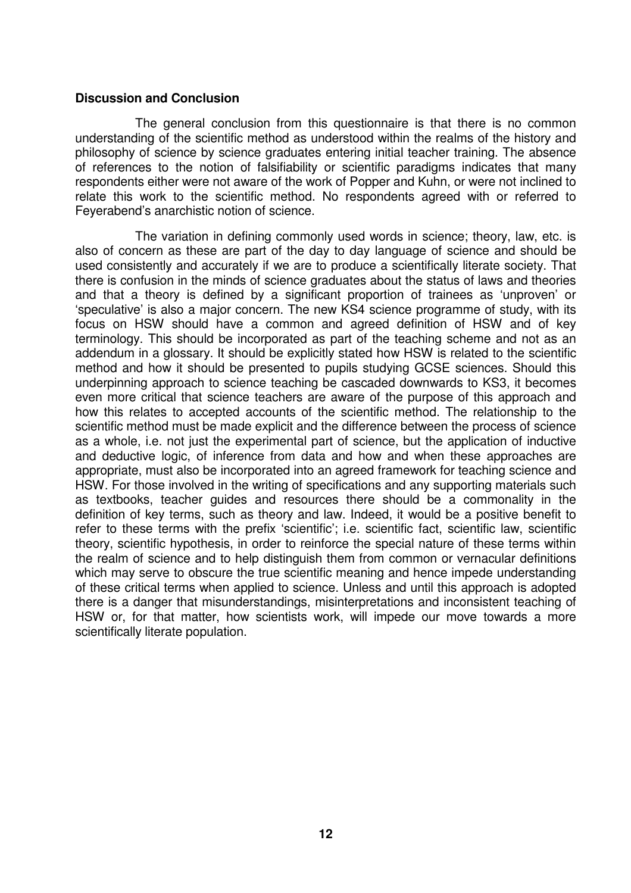#### **Discussion and Conclusion**

The general conclusion from this questionnaire is that there is no common understanding of the scientific method as understood within the realms of the history and philosophy of science by science graduates entering initial teacher training. The absence of references to the notion of falsifiability or scientific paradigms indicates that many respondents either were not aware of the work of Popper and Kuhn, or were not inclined to relate this work to the scientific method. No respondents agreed with or referred to Feyerabend's anarchistic notion of science.

The variation in defining commonly used words in science; theory, law, etc. is also of concern as these are part of the day to day language of science and should be used consistently and accurately if we are to produce a scientifically literate society. That there is confusion in the minds of science graduates about the status of laws and theories and that a theory is defined by a significant proportion of trainees as 'unproven' or 'speculative' is also a major concern. The new KS4 science programme of study, with its focus on HSW should have a common and agreed definition of HSW and of key terminology. This should be incorporated as part of the teaching scheme and not as an addendum in a glossary. It should be explicitly stated how HSW is related to the scientific method and how it should be presented to pupils studying GCSE sciences. Should this underpinning approach to science teaching be cascaded downwards to KS3, it becomes even more critical that science teachers are aware of the purpose of this approach and how this relates to accepted accounts of the scientific method. The relationship to the scientific method must be made explicit and the difference between the process of science as a whole, i.e. not just the experimental part of science, but the application of inductive and deductive logic, of inference from data and how and when these approaches are appropriate, must also be incorporated into an agreed framework for teaching science and HSW. For those involved in the writing of specifications and any supporting materials such as textbooks, teacher guides and resources there should be a commonality in the definition of key terms, such as theory and law. Indeed, it would be a positive benefit to refer to these terms with the prefix 'scientific'; i.e. scientific fact, scientific law, scientific theory, scientific hypothesis, in order to reinforce the special nature of these terms within the realm of science and to help distinguish them from common or vernacular definitions which may serve to obscure the true scientific meaning and hence impede understanding of these critical terms when applied to science. Unless and until this approach is adopted there is a danger that misunderstandings, misinterpretations and inconsistent teaching of HSW or, for that matter, how scientists work, will impede our move towards a more scientifically literate population.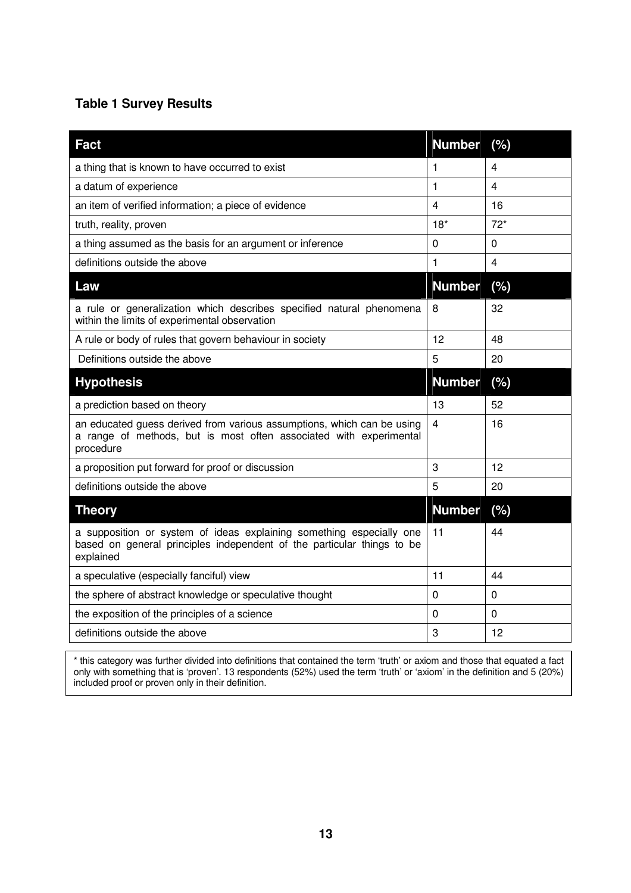# **Table 1 Survey Results**

 $\overline{a}$ 

| <b>Fact</b>                                                                                                                                                 | <b>Number</b>  | (%)            |
|-------------------------------------------------------------------------------------------------------------------------------------------------------------|----------------|----------------|
| a thing that is known to have occurred to exist                                                                                                             | 1              | 4              |
| a datum of experience                                                                                                                                       | 1              | 4              |
| an item of verified information; a piece of evidence                                                                                                        | 4              | 16             |
| truth, reality, proven                                                                                                                                      | $18*$          | $72*$          |
| a thing assumed as the basis for an argument or inference                                                                                                   | $\Omega$       | $\Omega$       |
| definitions outside the above                                                                                                                               | 1              | $\overline{4}$ |
| Law                                                                                                                                                         | <b>Number</b>  | (%)            |
| a rule or generalization which describes specified natural phenomena<br>within the limits of experimental observation                                       | 8              | 32             |
| A rule or body of rules that govern behaviour in society                                                                                                    | 12             | 48             |
| Definitions outside the above                                                                                                                               | 5              | 20             |
| <b>Hypothesis</b>                                                                                                                                           | <b>Number</b>  | (%)            |
| a prediction based on theory                                                                                                                                | 13             | 52             |
| an educated guess derived from various assumptions, which can be using<br>a range of methods, but is most often associated with experimental<br>procedure   | $\overline{4}$ | 16             |
| a proposition put forward for proof or discussion                                                                                                           | 3              | 12             |
| definitions outside the above                                                                                                                               | 5              | 20             |
| <b>Theory</b>                                                                                                                                               | <b>Number</b>  | (%)            |
| a supposition or system of ideas explaining something especially one<br>based on general principles independent of the particular things to be<br>explained | 11             | 44             |
| a speculative (especially fanciful) view                                                                                                                    | 11             | 44             |
| the sphere of abstract knowledge or speculative thought                                                                                                     | 0              | $\Omega$       |
| the exposition of the principles of a science                                                                                                               | 0              | 0              |
| definitions outside the above                                                                                                                               | 3              | 12             |

\* this category was further divided into definitions that contained the term 'truth' or axiom and those that equated a fact only with something that is 'proven'. 13 respondents (52%) used the term 'truth' or 'axiom' in the definition and 5 (20%) included proof or proven only in their definition.